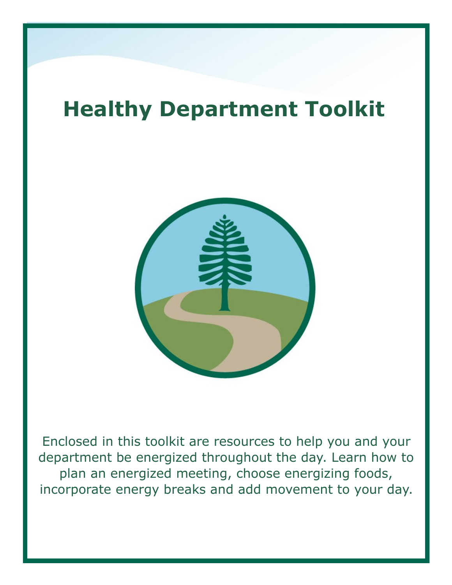# **Healthy Department Toolkit**



Enclosed in this toolkit are resources to help you and your department be energized throughout the day. Learn how to plan an energized meeting, choose energizing foods, incorporate energy breaks and add movement to your day.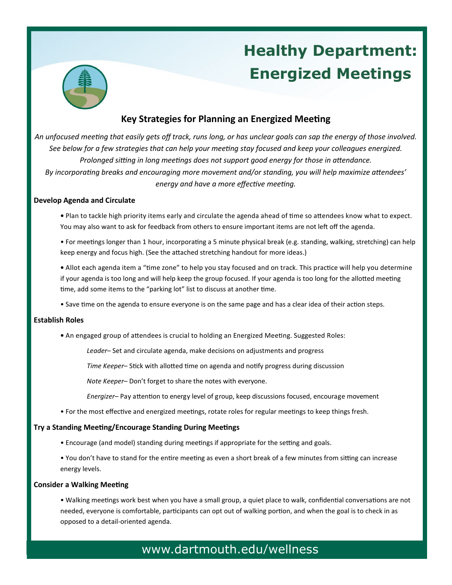# **Healthy Department: Energized Meetings**



## **Key Strategies for Planning an Energized Meeting**

*An unfocused meeting that easily gets off track, runs long, or has unclear goals can sap the energy of those involved. See below for a few strategies that can help your meeting stay focused and keep your colleagues energized. Prolonged sitting in long meetings does not support good energy for those in attendance. By incorporating breaks and encouraging more movement and/or standing, you will help maximize attendees' energy and have a more effective meeting.* 

### **Develop Agenda and Circulate**

- Plan to tackle high priority items early and circulate the agenda ahead of time so attendees know what to expect. You may also want to ask for feedback from others to ensure important items are not left off the agenda.
- For meetings longer than 1 hour, incorporating a 5 minute physical break (e.g. standing, walking, stretching) can help keep energy and focus high. (See the attached stretching handout for more ideas.)

**•** Allot each agenda item a "time zone" to help you stay focused and on track. This practice will help you determine if your agenda is too long and will help keep the group focused*.* If your agenda is too long for the allotted meeting time, add some items to the "parking lot" list to discuss at another time.

• Save time on the agenda to ensure everyone is on the same page and has a clear idea of their action steps.

#### **Establish Roles**

**•** An engaged group of attendees is crucial to holding an Energized Meeting. Suggested Roles:

*Leader*– Set and circulate agenda, make decisions on adjustments and progress

*Time Keeper*– Stick with allotted time on agenda and notify progress during discussion

*Note Keeper–* Don't forget to share the notes with everyone.

*Energizer–* Pay attention to energy level of group, keep discussions focused, encourage movement

• For the most effective and energized meetings, rotate roles for regular meetings to keep things fresh.

#### **Try a Standing Meeting/Encourage Standing During Meetings**

- Encourage (and model) standing during meetings if appropriate for the setting and goals.
- You don't have to stand for the entire meeting as even a short break of a few minutes from sitting can increase energy levels.

#### **Consider a Walking Meeting**

• Walking meetings work best when you have a small group, a quiet place to walk, confidential conversations are not needed, everyone is comfortable, participants can opt out of walking portion, and when the goal is to check in as opposed to a detail-oriented agenda.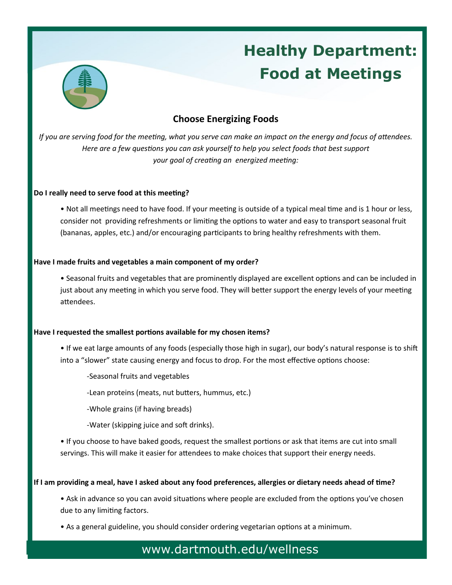

# **Healthy Department: Food at Meetings**

## **Choose Energizing Foods**

*If you are serving food for the meeting, what you serve can make an impact on the energy and focus of attendees. Here are a few questions you can ask yourself to help you select foods that best support your goal of creating an energized meeting:* 

## **Do I really need to serve food at this meeting?**

• Not all meetings need to have food. If your meeting is outside of a typical meal time and is 1 hour or less, consider not providing refreshments or limiting the options to water and easy to transport seasonal fruit (bananas, apples, etc.) and/or encouraging participants to bring healthy refreshments with them.

## **Have I made fruits and vegetables a main component of my order?**

• Seasonal fruits and vegetables that are prominently displayed are excellent options and can be included in just about any meeting in which you serve food. They will better support the energy levels of your meeting attendees.

## **Have I requested the smallest portions available for my chosen items?**

• If we eat large amounts of any foods (especially those high in sugar), our body's natural response is to shift into a "slower" state causing energy and focus to drop. For the most effective options choose:

-Seasonal fruits and vegetables

-Lean proteins (meats, nut butters, hummus, etc.)

-Whole grains (if having breads)

-Water (skipping juice and soft drinks).

• If you choose to have baked goods, request the smallest portions or ask that items are cut into small servings. This will make it easier for attendees to make choices that support their energy needs.

## **If I am providing a meal, have I asked about any food preferences, allergies or dietary needs ahead of time?**

• Ask in advance so you can avoid situations where people are excluded from the options you've chosen due to any limiting factors.

• As a general guideline, you should consider ordering vegetarian options at a minimum.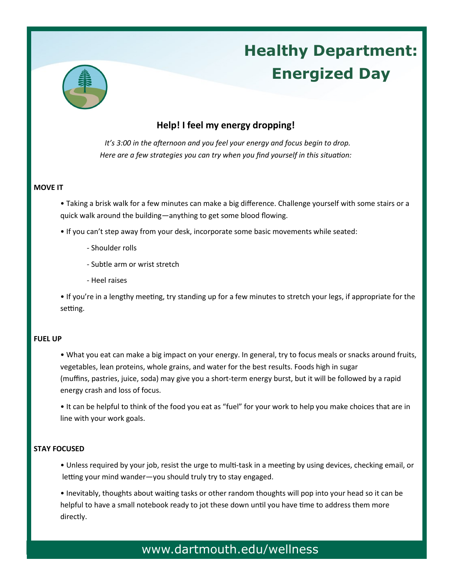

# **Healthy Department: Energized Day**

## **Help! I feel my energy dropping!**

 *It's 3:00 in the afternoon and you feel your energy and focus begin to drop. Here are a few strategies you can try when you find yourself in this situation:* 

## **MOVE IT**

• Taking a brisk walk for a few minutes can make a big difference. Challenge yourself with some stairs or a quick walk around the building—anything to get some blood flowing.

- If you can't step away from your desk, incorporate some basic movements while seated:
	- Shoulder rolls
	- Subtle arm or wrist stretch
	- Heel raises

• If you're in a lengthy meeting, try standing up for a few minutes to stretch your legs, if appropriate for the setting.

## **FUEL UP**

• What you eat can make a big impact on your energy. In general, try to focus meals or snacks around fruits, vegetables, lean proteins, whole grains, and water for the best results. Foods high in sugar (muffins, pastries, juice, soda) may give you a short-term energy burst, but it will be followed by a rapid energy crash and loss of focus.

• It can be helpful to think of the food you eat as "fuel" for your work to help you make choices that are in line with your work goals.

## **STAY FOCUSED**

• Unless required by your job, resist the urge to multi-task in a meeting by using devices, checking email, or letting your mind wander—you should truly try to stay engaged.

• Inevitably, thoughts about waiting tasks or other random thoughts will pop into your head so it can be helpful to have a small notebook ready to jot these down until you have time to address them more directly.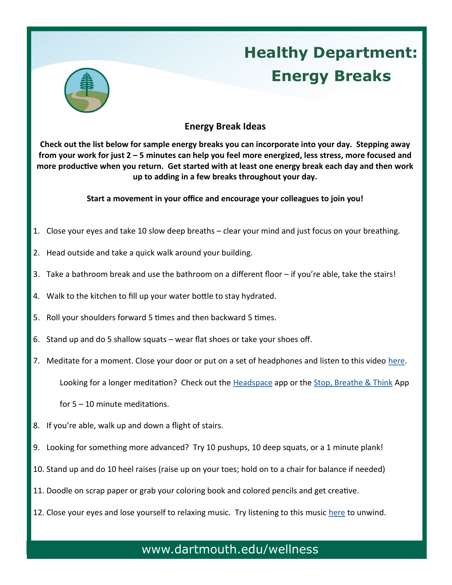

# **Healthy Department: Energy Breaks**

## **Energy Break Ideas**

**Check out the list below for sample energy breaks you can incorporate into your day. Stepping away from your work for just 2 – 5 minutes can help you feel more energized, less stress, more focused and more productive when you return. Get started with at least one energy break each day and then work up to adding in a few breaks throughout your day.** 

**Start a movement in your office and encourage your colleagues to join you!**

- 1. Close your eyes and take 10 slow deep breaths clear your mind and just focus on your breathing.
- 2. Head outside and take a quick walk around your building.
- 3. Take a bathroom break and use the bathroom on a different floor if you're able, take the stairs!
- 4. Walk to the kitchen to fill up your water bottle to stay hydrated.
- 5. Roll your shoulders forward 5 times and then backward 5 times.
- 6. Stand up and do 5 shallow squats wear flat shoes or take your shoes off.
- 7. Meditate for a moment. Close your door or put on a set of headphones and listen to this video here.

Looking for a longer meditation? Check out the [Headspace](https://www.headspace.com/headspace-meditation-app) app or the [Stop, Breathe & Think](http://www.stopbreathethink.org/) App

for 5 – 10 minute meditations.

- 8. If you're able, walk up and down a flight of stairs.
- 9. Looking for something more advanced? Try 10 pushups, 10 deep squats, or a 1 minute plank!
- 10. Stand up and do 10 heel raises (raise up on your toes; hold on to a chair for balance if needed)
- 11. Doodle on scrap paper or grab your coloring book and colored pencils and get creative.
- 12. Close your eyes and lose yourself to relaxing music. Try listening to this music [here](https://www.youtube.com/watch?v=pZ7XIWgseJ0) to unwind.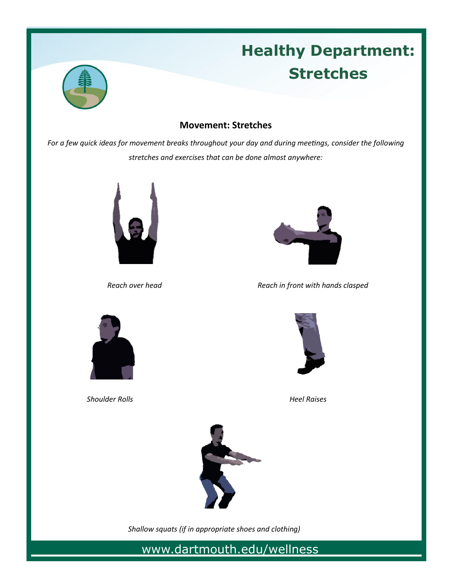

# **Healthy Department: Stretches**

## **Movement: Stretches**

*For a few quick ideas for movement breaks throughout your day and during meetings, consider the following stretches and exercises that can be done almost anywhere:*





**Reach over head** Reach in front with hands clasped



**Shoulder Rolls Allah Accords Heal Raises Heel Raises** 





 *Shallow squats (if in appropriate shoes and clothing)*